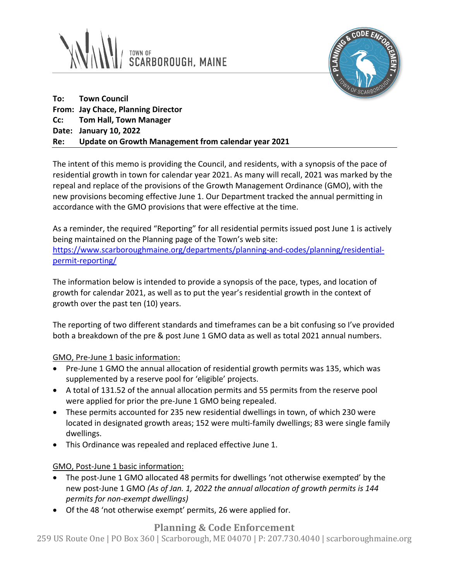



**To: Town Council From: Jay Chace, Planning Director Cc: Tom Hall, Town Manager Date: January 10, 2022 Re: Update on Growth Management from calendar year 2021**

The intent of this memo is providing the Council, and residents, with a synopsis of the pace of residential growth in town for calendar year 2021. As many will recall, 2021 was marked by the repeal and replace of the provisions of the Growth Management Ordinance (GMO), with the new provisions becoming effective June 1. Our Department tracked the annual permitting in accordance with the GMO provisions that were effective at the time.

As a reminder, the required "Reporting" for all residential permits issued post June 1 is actively being maintained on the Planning page of the Town's web site: [https://www.scarboroughmaine.org/departments/planning-and-codes/planning/residential](https://www.scarboroughmaine.org/departments/planning-and-codes/planning/residential-permit-reporting/)[permit-reporting/](https://www.scarboroughmaine.org/departments/planning-and-codes/planning/residential-permit-reporting/)

The information below is intended to provide a synopsis of the pace, types, and location of growth for calendar 2021, as well as to put the year's residential growth in the context of growth over the past ten (10) years.

The reporting of two different standards and timeframes can be a bit confusing so I've provided both a breakdown of the pre & post June 1 GMO data as well as total 2021 annual numbers.

GMO, Pre-June 1 basic information:

- Pre-June 1 GMO the annual allocation of residential growth permits was 135, which was supplemented by a reserve pool for 'eligible' projects.
- A total of 131.52 of the annual allocation permits and 55 permits from the reserve pool were applied for prior the pre-June 1 GMO being repealed.
- These permits accounted for 235 new residential dwellings in town, of which 230 were located in designated growth areas; 152 were multi-family dwellings; 83 were single family dwellings.
- This Ordinance was repealed and replaced effective June 1.

## GMO, Post-June 1 basic information:

- The post-June 1 GMO allocated 48 permits for dwellings 'not otherwise exempted' by the new post-June 1 GMO *(As of Jan. 1, 2022 the annual allocation of growth permits is 144 permits for non-exempt dwellings)*
- Of the 48 'not otherwise exempt' permits, 26 were applied for.

## **Planning & Code Enforcement**

259 US Route One | PO Box 360 | Scarborough, ME 04070 | P: 207.730.4040 | scarboroughmaine.org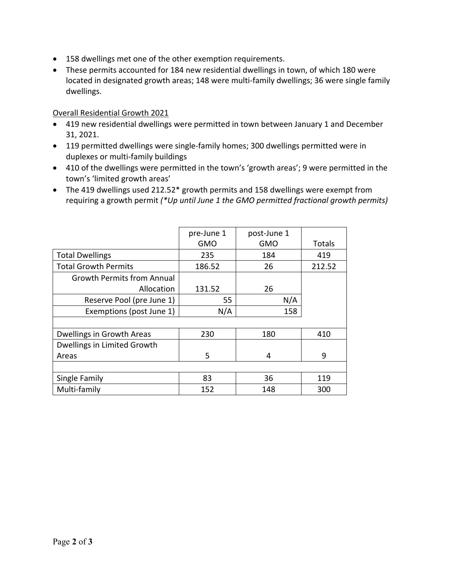- 158 dwellings met one of the other exemption requirements.
- These permits accounted for 184 new residential dwellings in town, of which 180 were located in designated growth areas; 148 were multi-family dwellings; 36 were single family dwellings.

## Overall Residential Growth 2021

- 419 new residential dwellings were permitted in town between January 1 and December 31, 2021.
- 119 permitted dwellings were single-family homes; 300 dwellings permitted were in duplexes or multi-family buildings
- 410 of the dwellings were permitted in the town's 'growth areas'; 9 were permitted in the town's 'limited growth areas'
- The 419 dwellings used 212.52\* growth permits and 158 dwellings were exempt from requiring a growth permit *(\*Up until June 1 the GMO permitted fractional growth permits)*

|                                   | pre-June 1<br><b>GMO</b> | post-June 1<br><b>GMO</b> | Totals |
|-----------------------------------|--------------------------|---------------------------|--------|
| <b>Total Dwellings</b>            | 235                      | 184                       | 419    |
| <b>Total Growth Permits</b>       | 186.52                   | 26                        | 212.52 |
| <b>Growth Permits from Annual</b> |                          |                           |        |
| Allocation                        | 131.52                   | 26                        |        |
| Reserve Pool (pre June 1)         | 55                       | N/A                       |        |
| Exemptions (post June 1)          | N/A                      | 158                       |        |
|                                   |                          |                           |        |
| Dwellings in Growth Areas         | 230                      | 180                       | 410    |
| Dwellings in Limited Growth       |                          |                           |        |
| Areas                             | 5                        | 4                         | 9      |
|                                   |                          |                           |        |
| Single Family                     | 83                       | 36                        | 119    |
| Multi-family                      | 152                      | 148                       | 300    |